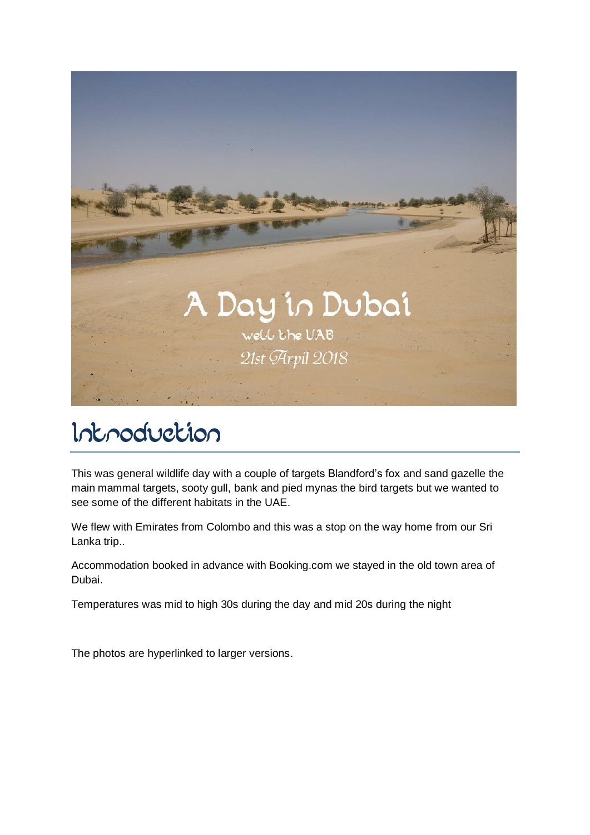

## Introduction

This was general wildlife day with a couple of targets Blandford's fox and sand gazelle the main mammal targets, sooty gull, bank and pied mynas the bird targets but we wanted to see some of the different habitats in the UAE.

We flew with Emirates from Colombo and this was a stop on the way home from our Sri Lanka trip..

Accommodation booked in advance with Booking.com we stayed in the old town area of Dubai.

Temperatures was mid to high 30s during the day and mid 20s during the night

The photos are hyperlinked to larger versions.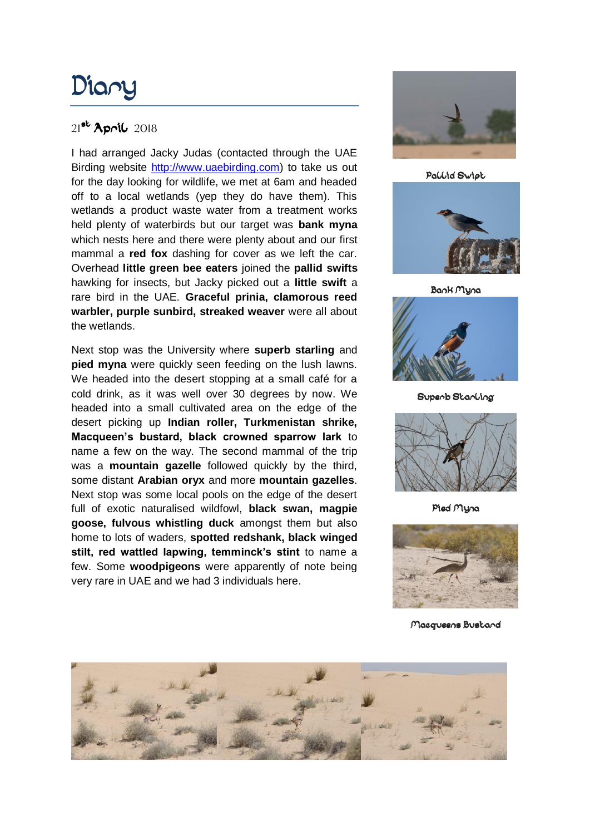# Diary

#### 21<sup>st</sup> April 2018

I had arranged Jacky Judas (contacted through the UAE Birding website [http://www.uaebirding.com\)](http://www.uaebirding.com/) to take us out for the day looking for wildlife, we met at 6am and headed off to a local wetlands (yep they do have them). This wetlands a product waste water from a treatment works held plenty of waterbirds but our target was **bank myna** which nests here and there were plenty about and our first mammal a **red fox** dashing for cover as we left the car. Overhead **little green bee eaters** joined the **pallid swifts** hawking for insects, but Jacky picked out a **little swift** a rare bird in the UAE. **Graceful prinia, clamorous reed warbler, purple sunbird, streaked weaver** were all about the wetlands.

Next stop was the University where **superb starling** and **pied myna** were quickly seen feeding on the lush lawns. We headed into the desert stopping at a small café for a cold drink, as it was well over 30 degrees by now. We headed into a small cultivated area on the edge of the desert picking up **Indian roller, Turkmenistan shrike, Macqueen's bustard, black crowned sparrow lark** to name a few on the way. The second mammal of the trip was a **mountain gazelle** followed quickly by the third, some distant **Arabian oryx** and more **mountain gazelles**. Next stop was some local pools on the edge of the desert full of exotic naturalised wildfowl, **black swan, magpie goose, fulvous whistling duck** amongst them but also home to lots of waders, **spotted redshank, black winged stilt, red wattled lapwing, temminck's stint** to name a few. Some **woodpigeons** were apparently of note being very rare in UAE and we had 3 individuals here.



Pallid Swipt



Bank Myna



Superb Starling



Pied Myna



Macqueens Bustard

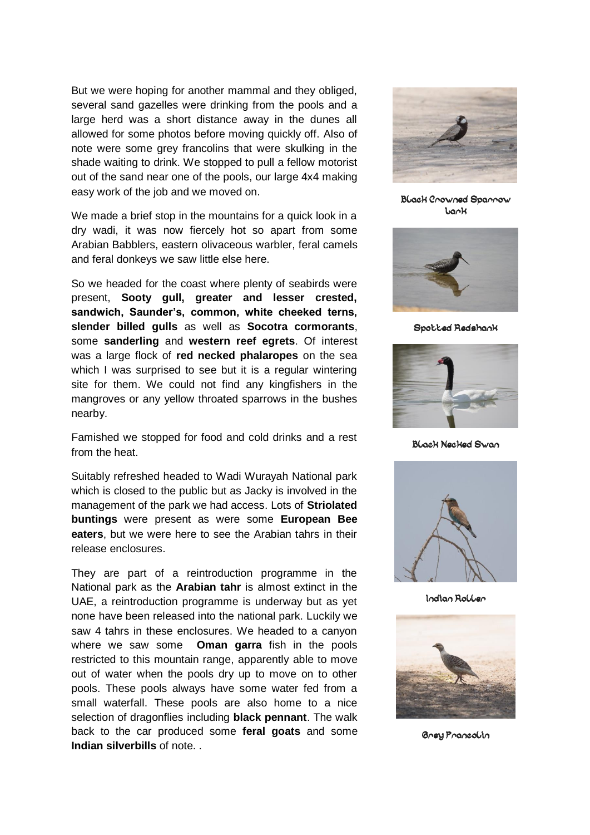But we were hoping for another mammal and they obliged, several sand gazelles were drinking from the pools and a large herd was a short distance away in the dunes all allowed for some photos before moving quickly off. Also of note were some grey francolins that were skulking in the shade waiting to drink. We stopped to pull a fellow motorist out of the sand near one of the pools, our large 4x4 making easy work of the job and we moved on.

We made a brief stop in the mountains for a quick look in a dry wadi, it was now fiercely hot so apart from some Arabian Babblers, eastern olivaceous warbler, feral camels and feral donkeys we saw little else here.

So we headed for the coast where plenty of seabirds were present, **Sooty gull, greater and lesser crested, sandwich, Saunder's, common, white cheeked terns, slender billed gulls** as well as **Socotra cormorants**, some **sanderling** and **western reef egrets**. Of interest was a large flock of **red necked phalaropes** on the sea which I was surprised to see but it is a regular wintering site for them. We could not find any kingfishers in the mangroves or any yellow throated sparrows in the bushes nearby.

Famished we stopped for food and cold drinks and a rest from the heat.

Suitably refreshed headed to Wadi Wurayah National park which is closed to the public but as Jacky is involved in the management of the park we had access. Lots of **Striolated buntings** were present as were some **European Bee eaters**, but we were here to see the Arabian tahrs in their release enclosures.

They are part of a reintroduction programme in the National park as the **Arabian tahr** is almost extinct in the UAE, a reintroduction programme is underway but as yet none have been released into the national park. Luckily we saw 4 tahrs in these enclosures. We headed to a canyon where we saw some **Oman garra** fish in the pools restricted to this mountain range, apparently able to move out of water when the pools dry up to move on to other pools. These pools always have some water fed from a small waterfall. These pools are also home to a nice selection of dragonflies including **black pennant**. The walk back to the car produced some **feral goats** and some **Indian silverbills** of note. .



Black Crowned Sparrow Lark



Spotted Redshank



Black Necked Swan



Indian Roller



Grey Francolin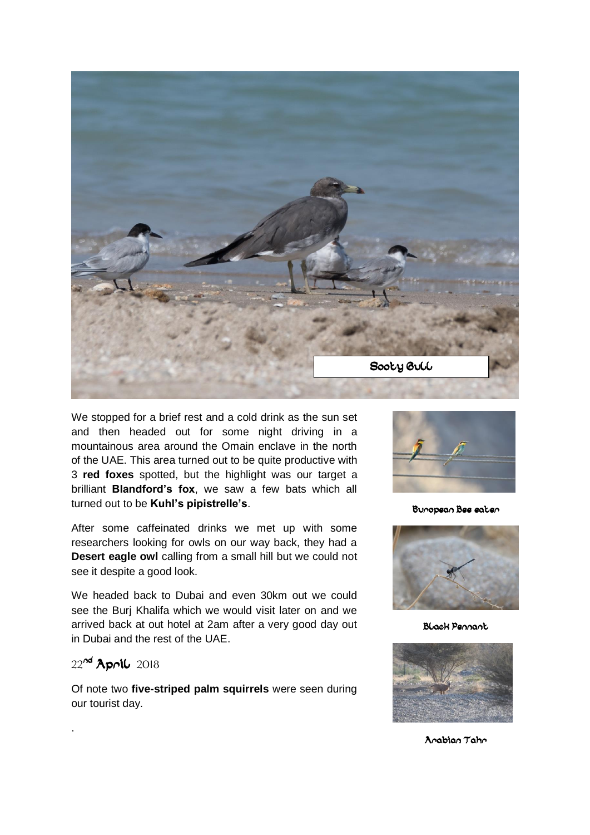

We stopped for a brief rest and a cold drink as the sun set and then headed out for some night driving in a mountainous area around the Omain enclave in the north of the UAE. This area turned out to be quite productive with 3 **red foxes** spotted, but the highlight was our target a brilliant **Blandford's fox**, we saw a few bats which all turned out to be **Kuhl's pipistrelle's**.

After some caffeinated drinks we met up with some researchers looking for owls on our way back, they had a **Desert eagle owl** calling from a small hill but we could not see it despite a good look.

We headed back to Dubai and even 30km out we could see the Burj Khalifa which we would visit later on and we arrived back at out hotel at 2am after a very good day out in Dubai and the rest of the UAE.

#### 22nd April 2018

.

Of note two **five-striped palm squirrels** were seen during our tourist day.



European Bee-eater



Black Pennant



Arabian Tahr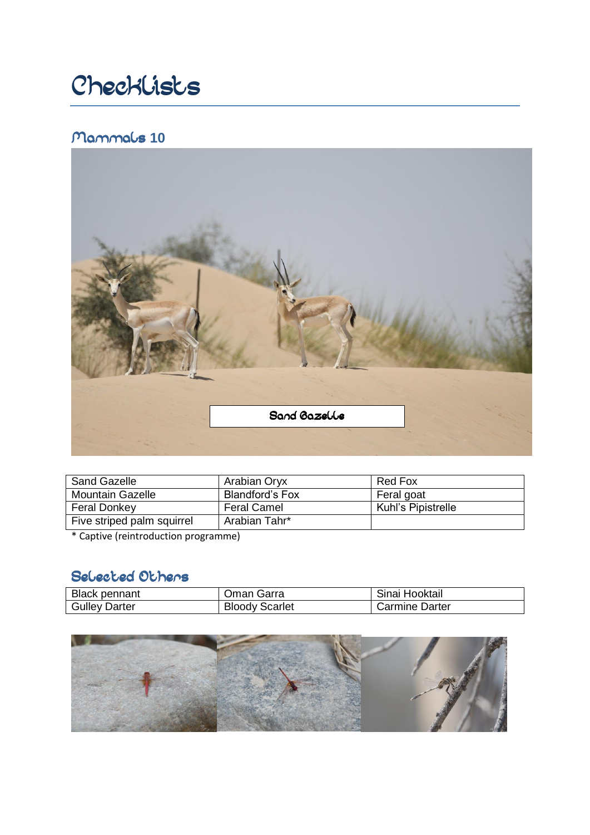# Checklists

### Mammals **10**8



| Sand Gazelle               | Arabian Oryx           | Red Fox            |
|----------------------------|------------------------|--------------------|
| <b>Mountain Gazelle</b>    | <b>Blandford's Fox</b> | Feral goat         |
| <b>Feral Donkey</b>        | <b>Feral Camel</b>     | Kuhl's Pipistrelle |
| Five striped palm squirrel | Arabian Tahr*          |                    |

\* Captive (reintroduction programme)

## Selected Others

| <b>Black pennant</b> | Oman Garra            | Sinai Hooktail |
|----------------------|-----------------------|----------------|
| <b>Gulley Darter</b> | <b>Bloody Scarlet</b> | Carmine Darter |